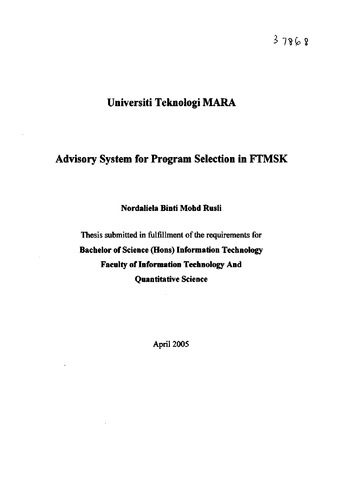**^ 7?fc?** 

# **Universiti Teknologi MARA**

## **Advisory System for Program Selection in FTMSK**

## **Nordaliela Binti Mohd Rusli**

Thesis submitted in fulfillment of the requirements for **Bachelor of Science (Hons) Information Technology Faculty of Information Technology And Quantitative Science** 

April 2005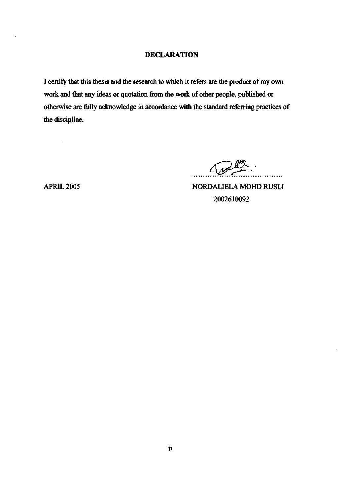#### **DECLARATION**

**I** certify that this thesis and the research to which it refers are the product of my own work and that any ideas or quotation from the work of other people, published or otherwise are fully acknowledge in accordance with the standard referring practices of the discipline.

 $\Lambda$   $\mu$ . . . . . . . . . .

 $\sim$ 

APRIL 2005 NORDALIELA MOHD RUSLI 2002610092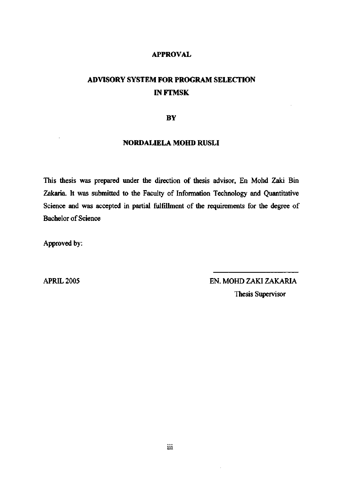#### **APPROVAL**

## **ADVISORY SYSTEM FOR PROGRAM SELECTION INFTMSK**

#### **BY**

#### **NORDALIELA MOHD RUSLI**

This thesis was prepared under the direction of thesis advisor. En Mohd Zaki Bin Zakaria. It was submitted to the Faculty of Information Technology and Quantitative Science and was accepted in partial fulfillment of the requirements for the degree of Bachelor of Science

Approved by:

APRIL 2005 EN. MOHD ZAKI ZAKARIA Thesis Supervisor

J.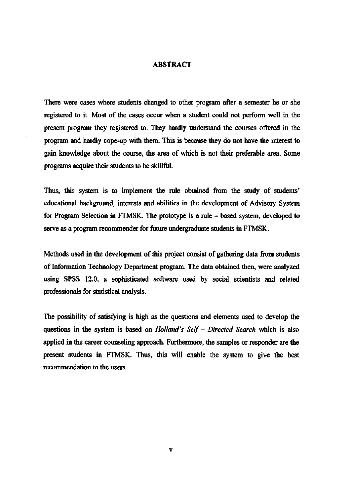#### **ABSTRACT**

There were cases where students changed to other program after a semester he or she registered to it. Most of the cases occur when a student could not perform well in the present program they registered to. They hardly understand the courses offered in the program and hardly cope-up with them. This is because they do not have the interest to gain knowledge about the course, the area of which is not their preferable area. Some programs acquire their students to be skillftil.

Thus, this system is to implement the rule obtained from the study of students' educational background, interests and abilities in the development of Advisory System for Program Selection in FTMSK. The prototype is a rule - based system, developed to serve as a program recommender for future undergraduate students in FTMSK.

Methods used in the development of this project consist of gathering data from students of Information Technology Department program. The data obtained then, were analyzed using SPSS 12.0, a sophisticated software used by social scientists and related professionals for statistical analysis.

The possibility of satisfying is high as the questions and elements used to develop the questions in the system is based on *Holland's Self- Directed Search* which is also applied in the career counseling approach. Furthermore, the samples or responder are the present students in FTMSK. Thus, this will enable the system to give the best recommendation to the users.